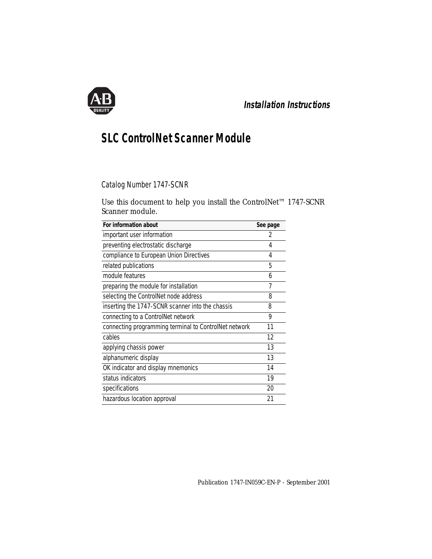

# **Installation Instructions**

# **SLC ControlNet Scanner Module**

Catalog Number 1747-SCNR

Use this document to help you install the ControlNet™ 1747-SCNR Scanner module.

| For information about                                 | See page |
|-------------------------------------------------------|----------|
| important user information                            | 2        |
| preventing electrostatic discharge                    | 4        |
| compliance to European Union Directives               | 4        |
| related publications                                  | 5        |
| module features                                       | 6        |
| preparing the module for installation                 | 7        |
| selecting the ControlNet node address                 | 8        |
| inserting the 1747-SCNR scanner into the chassis      | 8        |
| connecting to a ControlNet network                    | 9        |
| connecting programming terminal to ControlNet network | 11       |
| cables                                                | 12       |
| applying chassis power                                | 13       |
| alphanumeric display                                  | 13       |
| OK indicator and display mnemonics                    | 14       |
| status indicators                                     | 19       |
| specifications                                        | 20       |
| hazardous location approval                           | 21       |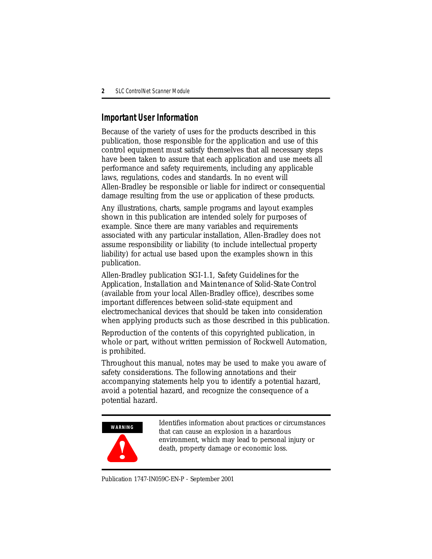### <span id="page-1-0"></span>**Important User Information**

Because of the variety of uses for the products described in this publication, those responsible for the application and use of this control equipment must satisfy themselves that all necessary steps have been taken to assure that each application and use meets all performance and safety requirements, including any applicable laws, regulations, codes and standards. In no event will Allen-Bradley be responsible or liable for indirect or consequential damage resulting from the use or application of these products.

Any illustrations, charts, sample programs and layout examples shown in this publication are intended solely for purposes of example. Since there are many variables and requirements associated with any particular installation, Allen-Bradley does not assume responsibility or liability (to include intellectual property liability) for actual use based upon the examples shown in this publication.

Allen-Bradley publication SGI-1.1, *Safety Guidelines for the Application, Installation and Maintenance of Solid-State Control*  (available from your local Allen-Bradley office), describes some important differences between solid-state equipment and electromechanical devices that should be taken into consideration when applying products such as those described in this publication.

Reproduction of the contents of this copyrighted publication, in whole or part, without written permission of Rockwell Automation, is prohibited.

Throughout this manual, notes may be used to make you aware of safety considerations. The following annotations and their accompanying statements help you to identify a potential hazard, avoid a potential hazard, and recognize the consequence of a potential hazard.



Identifies information about practices or circumstances that can cause an explosion in a hazardous environment, which may lead to personal injury or death, property damage or economic loss.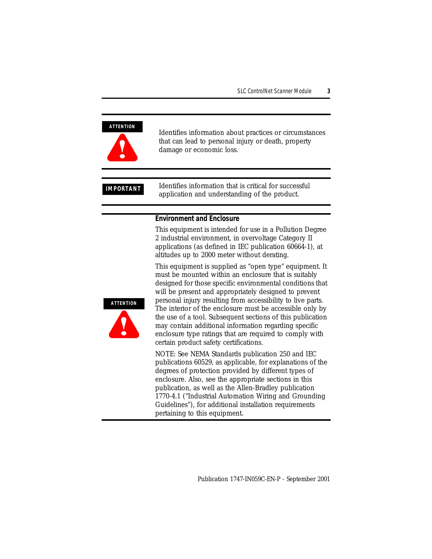#### **ATTENTION**



Identifies information about practices or circumstances that can lead to personal injury or death, property damage or economic loss.

**IMPORTANT** Identifies information that is critical for successful application and understanding of the product.

#### **Environment and Enclosure**

This equipment is intended for use in a Pollution Degree 2 industrial environment, in overvoltage Category II applications (as defined in IEC publication 60664-1), at altitudes up to 2000 meter without derating.

This equipment is supplied as "open type" equipment. It must be mounted within an enclosure that is suitably designed for those specific environmental conditions that will be present and appropriately designed to prevent personal injury resulting from accessibility to live parts. The interior of the enclosure must be accessible only by the use of a tool. Subsequent sections of this publication may contain additional information regarding specific enclosure type ratings that are required to comply with certain product safety certifications.

NOTE: See NEMA Standards publication 250 and IEC publications 60529, as applicable, for explanations of the degrees of protection provided by different types of enclosure. Also, see the appropriate sections in this publication, as well as the Allen-Bradley publication 1770-4.1 ("Industrial Automation Wiring and Grounding Guidelines"), for additional installation requirements pertaining to this equipment.

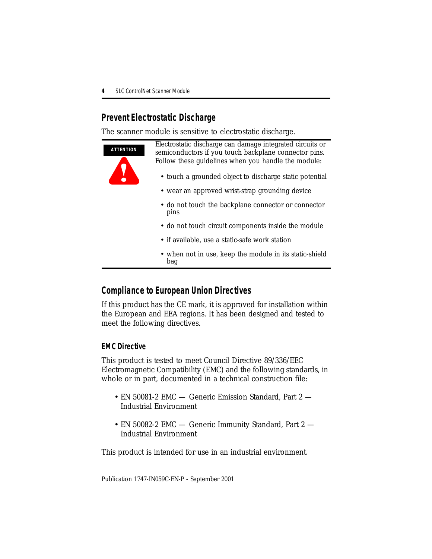# <span id="page-3-0"></span>**Prevent Electrostatic Discharge**

The scanner module is sensitive to electrostatic discharge.



# <span id="page-3-1"></span>**Compliance to European Union Directives**

If this product has the CE mark, it is approved for installation within the European and EEA regions. It has been designed and tested to meet the following directives.

#### **EMC Directive**

This product is tested to meet Council Directive 89/336/EEC Electromagnetic Compatibility (EMC) and the following standards, in whole or in part, documented in a technical construction file:

- EN 50081-2 EMC Generic Emission Standard, Part 2 Industrial Environment
- EN 50082-2 EMC Generic Immunity Standard, Part 2 Industrial Environment

This product is intended for use in an industrial environment.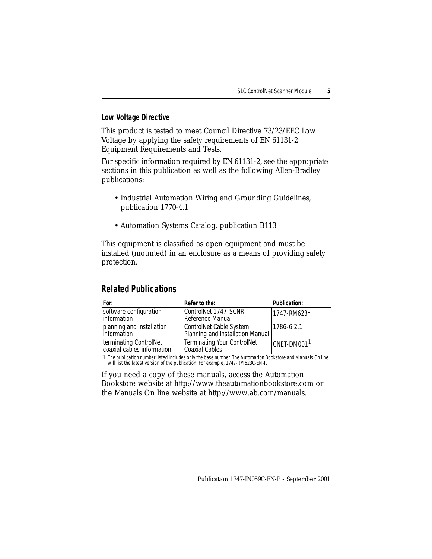#### **Low Voltage Directive**

This product is tested to meet Council Directive 73/23/EEC Low Voltage by applying the safety requirements of EN 61131-2 Equipment Requirements and Tests.

For specific information required by EN 61131-2, see the appropriate sections in this publication as well as the following Allen-Bradley publications:

- Industrial Automation Wiring and Grounding Guidelines, publication 1770-4.1
- Automation Systems Catalog, publication B113

This equipment is classified as open equipment and must be installed (mounted) in an enclosure as a means of providing safety protection.

### <span id="page-4-0"></span>**Related Publications**

| For:                                                                                                         | Refer to the:                                               | <b>Publication:</b>         |  |  |
|--------------------------------------------------------------------------------------------------------------|-------------------------------------------------------------|-----------------------------|--|--|
| software configuration<br>information                                                                        | ControlNet 1747-SCNR<br>Reference Manual                    | $1747 - RM623$ <sup>1</sup> |  |  |
| planning and installation<br>information                                                                     | ControlNet Cable System<br>Planning and Installation Manual | 1786-6.2.1                  |  |  |
| terminating ControlNet<br>coaxial cables information                                                         | <b>Terminating Your ControlNet</b><br><b>Coaxial Cables</b> | CNET-DM001 <sup>1</sup>     |  |  |
| 1. The publication number listed includes only the base number. The Automation Bookstore and Manuals On line |                                                             |                             |  |  |

will list the latest version of the publication. For example, 1747-RM623C-EN-P.

If you need a copy of these manuals, access the Automation Bookstore website at http://www.theautomationbookstore.com or the Manuals On line website at http://www.ab.com/manuals.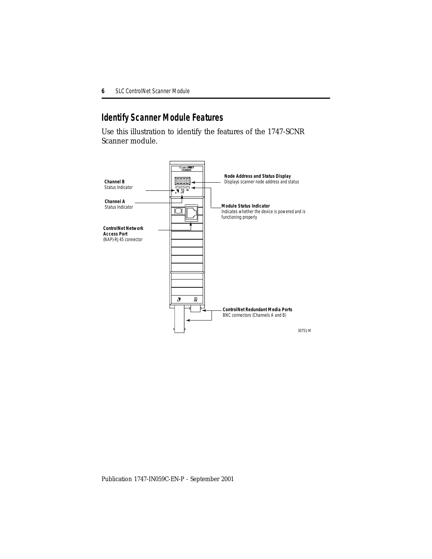# <span id="page-5-0"></span>**Identify Scanner Module Features**

Use this illustration to identify the features of the 1747-SCNR Scanner module.

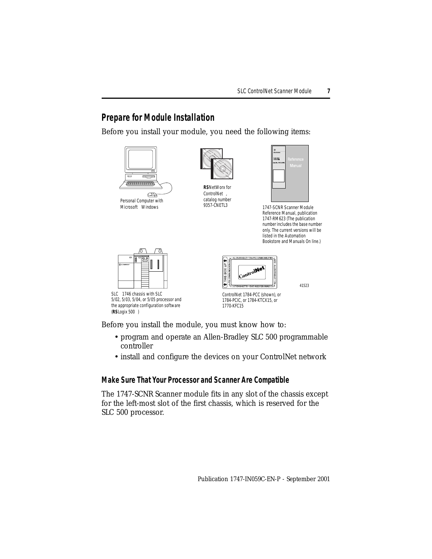### <span id="page-6-0"></span>**Prepare for Module Installation**

Before you install your module, you need the following items:



Microsoft<sup>®</sup> Windows<sup>®</sup>



**RS**NetWorx for ControlNet<sup>™</sup>, catalog number<br>9357-CNETL3

| $\frac{Q}{4\pi\pi\arctan\theta}$ |           |
|----------------------------------|-----------|
| <b>Contro</b><br>1247-0209       | Reference |
| Set No. 1347 SCAN                | Manual    |
|                                  |           |
|                                  |           |
|                                  |           |
|                                  |           |
|                                  |           |

1747-SCNR Scanner Module Reference Manual, publication 1747-RM623 (The publication number includes the base number only. The current versions will be listed in the Automation Bookstore and Manuals On line.)



SLC™ 1746 chassis with SLC 5/02, 5/03, 5/04, or 5/05 processor and the appropriate configuration software (**RS**Logix 500)



41523

ControlNet 1784-PCC (shown), or 1784-PCIC, or 1784-KTCX15, or 1770-KFC15

Before you install the module, you must know how to:

- program and operate an Allen-Bradley SLC 500 programmable controller
- install and configure the devices on your ControlNet network

#### **Make Sure That Your Processor and Scanner Are Compatible**

The 1747-SCNR Scanner module fits in any slot of the chassis except for the left-most slot of the first chassis, which is reserved for the SLC 500 processor.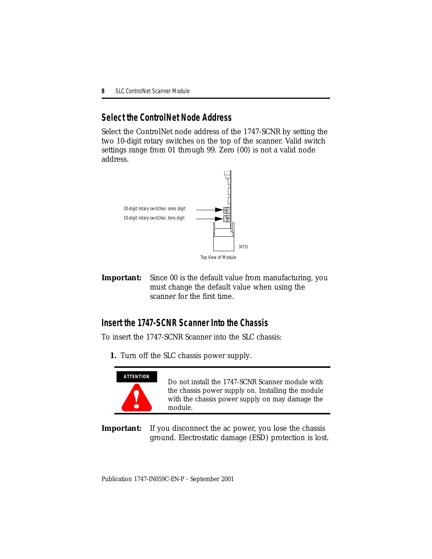### <span id="page-7-1"></span>**Select the ControlNet Node Address**

Select the ControlNet node address of the 1747-SCNR by setting the two 10-digit rotary switches on the top of the scanner. Valid switch settings range from 01 through 99. Zero (00) is not a valid node address.



**Important:** Since 00 is the default value from manufacturing, you must change the default value when using the scanner for the first time.

# <span id="page-7-0"></span>**Insert the 1747-SCNR Scanner Into the Chassis**

To insert the 1747-SCNR Scanner into the SLC chassis:

**1.** Turn off the SLC chassis power supply.



Do not install the 1747-SCNR Scanner module with the chassis power supply on. Installing the module with the chassis power supply on may damage the module.

**Important:** If you disconnect the ac power, you lose the chassis ground. Electrostatic damage (ESD) protection is lost*.*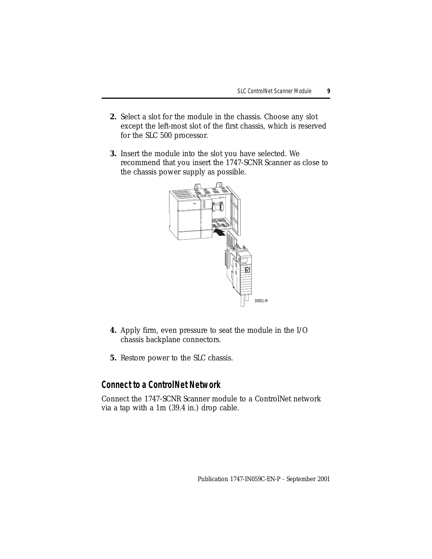- **2.** Select a slot for the module in the chassis. Choose any slot except the left-most slot of the first chassis, which is reserved for the SLC 500 processor.
- **3.** Insert the module into the slot you have selected. We recommend that you insert the 1747-SCNR Scanner as close to the chassis power supply as possible.



- **4.** Apply firm, even pressure to seat the module in the I/O chassis backplane connectors.
- **5.** Restore power to the SLC chassis.

#### <span id="page-8-0"></span>**Connect to a ControlNet Network**

Connect the 1747-SCNR Scanner module to a ControlNet network via a tap with a 1m (39.4 in.) drop cable.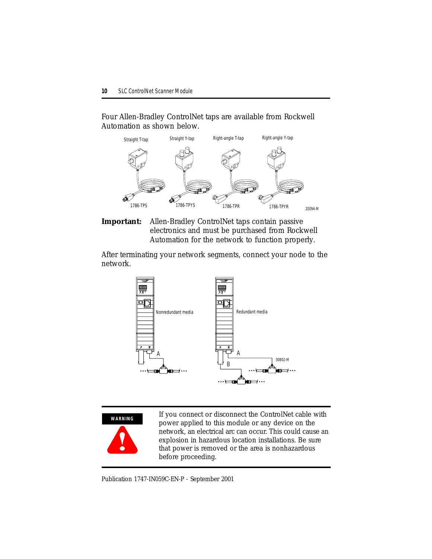Four Allen-Bradley ControlNet taps are available from Rockwell Automation as shown below.



**Important:** Allen-Bradley ControlNet taps contain passive electronics and must be purchased from Rockwell Automation for the network to function properly.

After terminating your network segments, connect your node to the network.





If you connect or disconnect the ControlNet cable with power applied to this module or any device on the network, an electrical arc can occur. This could cause an explosion in hazardous location installations. Be sure that power is removed or the area is nonhazardous before proceeding.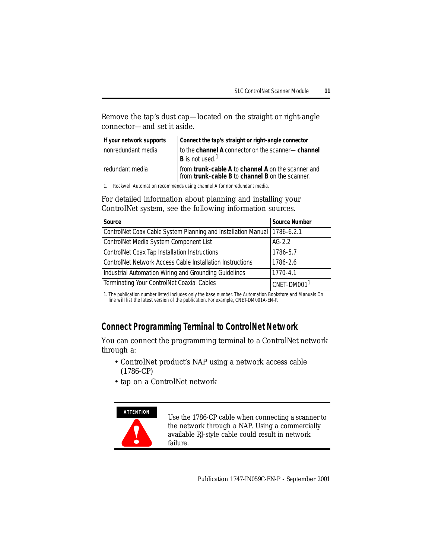Remove the tap's dust cap—located on the straight or right-angle connector—and set it aside.

| If your network supports                                              | Connect the tap's straight or right-angle connector                                                   |  |  |
|-----------------------------------------------------------------------|-------------------------------------------------------------------------------------------------------|--|--|
| nonredundant media                                                    | to the channel A connector on the scanner-channel                                                     |  |  |
|                                                                       | $ B $ is not used. <sup>1</sup>                                                                       |  |  |
| redundant media                                                       | from trunk-cable A to channel A on the scanner and<br>from trunk-cable B to channel B on the scanner. |  |  |
| Rockwell Automation recommends using channel A for nonredundant media |                                                                                                       |  |  |

1. Rockwell Automation recommends using channel A for nonredundant media.

For detailed information about planning and installing your ControlNet system, see the following information sources.

| <b>Source</b>                                                                                           | <b>Source Number</b>    |
|---------------------------------------------------------------------------------------------------------|-------------------------|
| ControlNet Coax Cable System Planning and Installation Manual   1786-6.2.1                              |                         |
| ControlNet Media System Component List                                                                  | $AG-2.2$                |
| <b>ControlNet Coax Tap Installation Instructions</b>                                                    | 1786-5.7                |
| ControlNet Network Access Cable Installation Instructions                                               | 1786-2.6                |
| Industrial Automation Wiring and Grounding Guidelines                                                   | 1770-4.1                |
| <b>Terminating Your ControlNet Coaxial Cables</b>                                                       | CNET-DM001 <sup>1</sup> |
| 1. The publication number listed includes only the base number. The Automation Bookstore and Manuals On |                         |

line will list the latest version of the publication. For example, CNET-DM001A-EN-P.

# <span id="page-10-0"></span>**Connect Programming Terminal to ControlNet Network**

You can connect the programming terminal to a ControlNet network through a:

- ControlNet product's NAP using a network access cable (1786-CP)
- tap on a ControlNet network

#### **ATTENTION**



Use the 1786-CP cable when connecting a scanner to the network through a NAP. Using a commercially available RJ-style cable could result in network failure.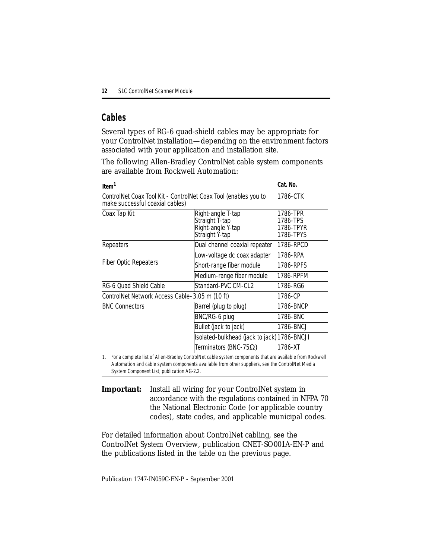# <span id="page-11-0"></span>**Cables**

Several types of RG-6 quad-shield cables may be appropriate for your ControlNet installation—depending on the environment factors associated with your application and installation site.

The following Allen-Bradley ControlNet cable system components are available from Rockwell Automation:

| Item <sup>1</sup>                                                                                  | Cat. No.                                                                   |           |  |
|----------------------------------------------------------------------------------------------------|----------------------------------------------------------------------------|-----------|--|
| ControlNet Coax Tool Kit - ControlNet Coax Tool (enables you to<br>make successful coaxial cables) |                                                                            | 1786-CTK  |  |
| Coax Tap Kit                                                                                       | Right-angle T-tap<br>Straight T-tap<br>Right-angle Y-tap<br>Straight Y-tap |           |  |
| Repeaters                                                                                          | Dual channel coaxial repeater                                              | 1786-RPCD |  |
|                                                                                                    | Low-voltage dc coax adapter                                                | 1786-RPA  |  |
| Fiber Optic Repeaters                                                                              | Short-range fiber module                                                   | 1786-RPFS |  |
|                                                                                                    | Medium-range fiber module                                                  | 1786-RPFM |  |
| RG-6 Ouad Shield Cable                                                                             | Standard-PVC CM-CL2                                                        | 1786-RG6  |  |
| ControlNet Network Access Cable–3.05 m (10 ft)                                                     |                                                                            | 1786-CP   |  |
| <b>BNC Connectors</b>                                                                              | Barrel (plug to plug)                                                      | 1786-BNCP |  |
|                                                                                                    | BNC/RG-6 plug                                                              | 1786-BNC  |  |
|                                                                                                    | Bullet (jack to jack)                                                      | 1786-BNCJ |  |
|                                                                                                    | Isolated-bulkhead (jack to jack) 1786-BNCJI                                |           |  |
|                                                                                                    | Terminators (BNC-75 $\Omega$ )                                             | 1786-XT   |  |

1. For a complete list of Allen-Bradley ControlNet cable system components that are available from Rockwell Automation and cable system components available from other suppliers, see the ControlNet Media System Component List, publication AG-2.2.

**Important:** Install all wiring for your ControlNet system in accordance with the regulations contained in NFPA 70 the National Electronic Code (or applicable country codes), state codes, and applicable municipal codes.

For detailed information about ControlNet cabling, see the ControlNet System Overview, publication CNET-SO001A-EN-P and the publications listed in the table on the previous page.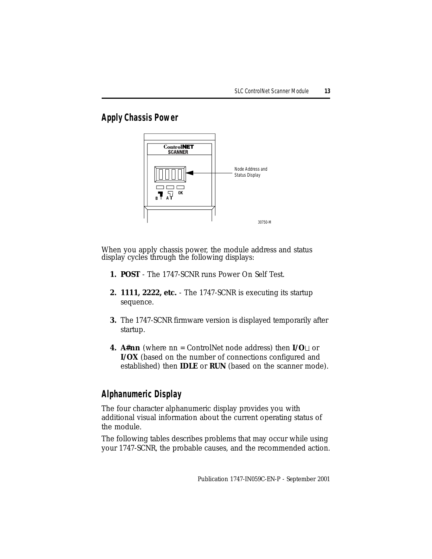### <span id="page-12-0"></span>**Apply Chassis Power**



When you apply chassis power, the module address and status display cycles through the following displays:

- **1. POST** The 1747-SCNR runs Power On Self Test.
- **2. 1111, 2222, etc.** The 1747-SCNR is executing its startup sequence.
- **3.** The 1747-SCNR firmware version is displayed temporarily after startup.
- **4. A#nn** (where nn = ControlNet node address) then **I/O**⊔ or **I/OX** (based on the number of connections configured and established) then **IDLE** or **RUN** (based on the scanner mode).

# <span id="page-12-1"></span>**Alphanumeric Display**

The four character alphanumeric display provides you with additional visual information about the current operating status of the module.

The following tables describes problems that may occur while using your 1747-SCNR, the probable causes, and the recommended action.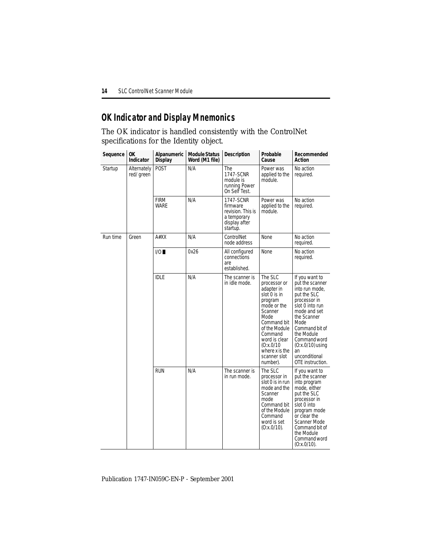### <span id="page-13-0"></span>**OK Indicator and Display Mnemonics**

The OK indicator is handled consistently with the ControlNet specifications for the Identity object.

| Sequence | <b>OK</b><br>Indicator    | Alpanumeric<br><b>Display</b> | <b>Module Status</b><br>Word (M1 file) | <b>Description</b>                                                                     | Probable<br>Cause                                                                                                                                                                                                          | Recommended<br>Action                                                                                                                                                                                                                                         |
|----------|---------------------------|-------------------------------|----------------------------------------|----------------------------------------------------------------------------------------|----------------------------------------------------------------------------------------------------------------------------------------------------------------------------------------------------------------------------|---------------------------------------------------------------------------------------------------------------------------------------------------------------------------------------------------------------------------------------------------------------|
| Startup  | Alternately<br>red/ green | <b>POST</b>                   | N/A                                    | The<br>1747-SCNR<br>module is<br>running Power<br>On Self Test.                        | Power was<br>applied to the<br>module.                                                                                                                                                                                     | No action<br>required.                                                                                                                                                                                                                                        |
|          |                           | FIRM<br><b>WARE</b>           | N/A                                    | 1747-SCNR<br>firmware<br>revision. This is<br>a temporary<br>display after<br>startup. | Power was<br>applied to the<br>module.                                                                                                                                                                                     | No action<br>required.                                                                                                                                                                                                                                        |
| Run time | Green                     | A#XX                          | N/A                                    | ControlNet<br>node address                                                             | <b>None</b>                                                                                                                                                                                                                | No action<br>required.                                                                                                                                                                                                                                        |
|          |                           | 1/O                           | 0x26                                   | All configured<br>connections<br>are<br>established.                                   | None                                                                                                                                                                                                                       | No action<br>required.                                                                                                                                                                                                                                        |
|          |                           | <b>IDLE</b>                   | N/A                                    | The scanner is<br>in idle mode.                                                        | The SLC<br>processor or<br>adapter in<br>slot 0 is in<br>program<br>mode or the<br>Scanner<br>Mode<br>Command bit<br>of the Module<br>Command<br>word is clear<br>(0:x.0/10)<br>where x is the<br>scanner slot<br>number). | If you want to<br>put the scanner<br>into run mode,<br>put the SLC<br>processor in<br>slot 0 into run<br>mode and set<br>the Scanner<br>Mode<br>Command bit of<br>the Module<br>Command word<br>$(0:x.0/10)$ using<br>an<br>unconditional<br>OTE instruction. |
|          |                           | <b>RUN</b>                    | N/A                                    | The scanner is<br>in run mode.                                                         | The SLC<br>processor in<br>slot 0 is in run<br>mode and the<br>Scanner<br>mode<br>Command bit<br>of the Module<br>Command<br>word is set<br>(0:x.0/10).                                                                    | If you want to<br>put the scanner<br>into program<br>mode, either<br>put the SLC<br>processor in<br>slot 0 into<br>program mode<br>or clear the<br><b>Scanner Mode</b><br>Command bit of<br>the Module<br>Command word<br>(0:x.0/10).                         |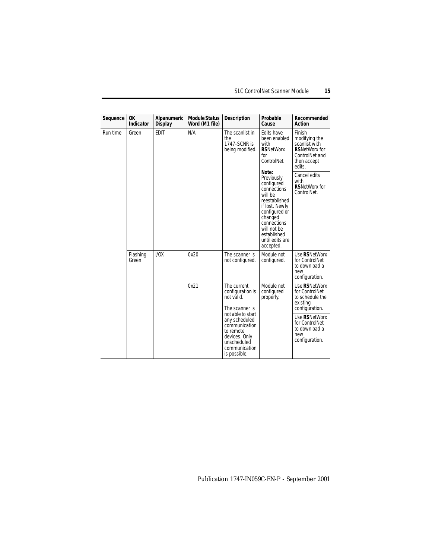| Sequence                               | 0K<br>Indicator | Alpanumeric<br><b>Display</b> | <b>Module Status</b><br>Word (M1 file) | <b>Description</b>                                                                                                                | Probable<br>Cause                                                                                                                                                                                       | Recommended<br>Action                                                                                       |
|----------------------------------------|-----------------|-------------------------------|----------------------------------------|-----------------------------------------------------------------------------------------------------------------------------------|---------------------------------------------------------------------------------------------------------------------------------------------------------------------------------------------------------|-------------------------------------------------------------------------------------------------------------|
| Run time<br>Green<br>Flashing<br>Green |                 | <b>EDIT</b>                   | N/A                                    | The scanlist in<br>the<br>1747-SCNR is<br>being modified.                                                                         | Edits have<br>been enabled<br>with<br><b>RSNetWorx</b><br>for<br>ControlNet.                                                                                                                            | Finish<br>modifying the<br>scanlist with<br><b>RSNetWorx for</b><br>ControlNet and<br>then accept<br>edits. |
|                                        |                 |                               |                                        |                                                                                                                                   | Note:<br>Previously<br>configured<br>connections<br>will be<br>reestablished<br>if lost. Newly<br>configured or<br>changed<br>connections<br>will not be<br>established<br>until edits are<br>accepted. | Cancel edits<br>with<br><b>RSNetWorx for</b><br>ControlNet.                                                 |
|                                        |                 | UOX                           | 0x20                                   | The scanner is<br>not configured.                                                                                                 | Module not<br>configured.                                                                                                                                                                               | Use RSNetWorx<br>for ControlNet<br>to download a<br>new<br>configuration.                                   |
|                                        |                 |                               | 0x21                                   | The current<br>configuration is<br>not valid.<br>The scanner is                                                                   | Module not<br>configured<br>properly.                                                                                                                                                                   | Use RSNetWorx<br>for ControlNet<br>to schedule the<br>existing<br>configuration.                            |
|                                        |                 |                               |                                        | not able to start<br>any scheduled<br>communication<br>to remote<br>devices. Only<br>unscheduled<br>communication<br>is possible. |                                                                                                                                                                                                         | Use RSNetWorx<br>for ControlNet<br>to download a<br>new<br>configuration.                                   |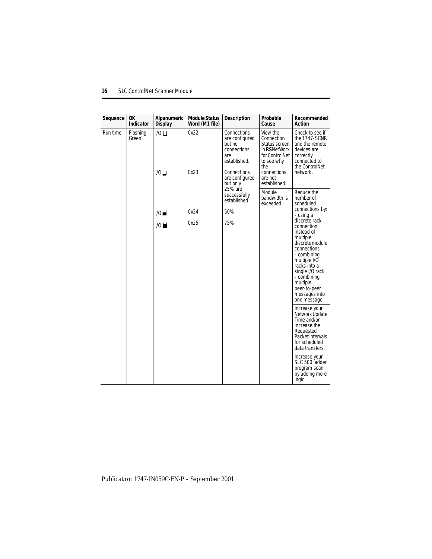| Sequence | 0K<br><b>Indicator</b>                                                                                                                                                     | Alpanumeric<br><b>Display</b> | <b>Module Status</b><br>Word (M1 file)                                                                                                   | <b>Description</b>                                                                                                           | Probable<br>Cause                   | Recommended<br>Action                                                                                                                                                                                                                                                 |
|----------|----------------------------------------------------------------------------------------------------------------------------------------------------------------------------|-------------------------------|------------------------------------------------------------------------------------------------------------------------------------------|------------------------------------------------------------------------------------------------------------------------------|-------------------------------------|-----------------------------------------------------------------------------------------------------------------------------------------------------------------------------------------------------------------------------------------------------------------------|
| Run time | 0x22<br>Flashing<br>1/0<br>Connections<br>are configured<br>Green<br>but no<br>connections<br>are<br>established.<br>0x23<br>$1/0$ $\Box$<br>Connections<br>are configured | but only                      | View the<br>Connection<br>Status screen<br>in RSNetWorx<br>for ControlNet<br>to see why<br>the<br>connections<br>are not<br>established. | Check to see if<br>the 1747-SCNR<br>and the remote<br>devices are<br>correctly<br>connected to<br>the ControlNet<br>network. |                                     |                                                                                                                                                                                                                                                                       |
|          |                                                                                                                                                                            |                               |                                                                                                                                          | 25% are<br>successfully<br>established.                                                                                      | Module<br>bandwidth is<br>exceeded. | Reduce the<br>number of<br>scheduled                                                                                                                                                                                                                                  |
|          |                                                                                                                                                                            | 1/0                           | 0x24                                                                                                                                     | 50%                                                                                                                          |                                     | connections by:<br>- using a<br>discrete rack<br>connection<br>instead of<br>multiple<br>discrete module<br>connections<br>- combining<br>multiple I/O<br>racks into a<br>single I/O rack<br>- combining<br>multiple<br>peer-to-peer<br>messages into<br>one message. |
|          |                                                                                                                                                                            | 0x25<br>1/O                   |                                                                                                                                          | 75%                                                                                                                          |                                     |                                                                                                                                                                                                                                                                       |
|          |                                                                                                                                                                            |                               |                                                                                                                                          |                                                                                                                              |                                     | Increase your<br>Network Üpdate<br>Time and/or<br>increase the<br>Requested<br>Packet Intervals<br>for scheduled<br>data transfers.                                                                                                                                   |
|          |                                                                                                                                                                            |                               |                                                                                                                                          |                                                                                                                              |                                     | Increase your<br>SLC 500 ladder<br>program scan<br>by adding more<br>logic.                                                                                                                                                                                           |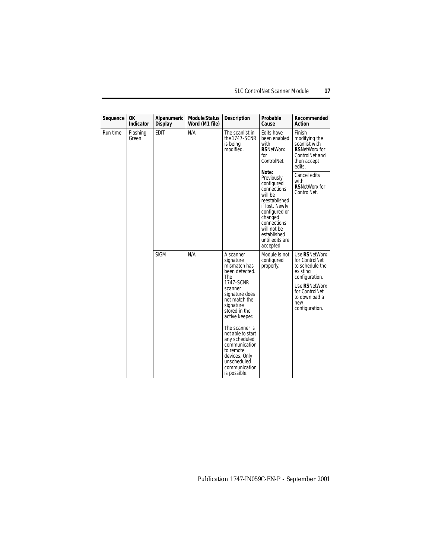| Sequence | 0K<br>Indicator   | Alpanumeric<br><b>Display</b> | <b>Module Status</b><br>Word (M1 file)                                                                  | Description                                                                                                                                                                                                                                                                             | Probable<br>Cause                                                                                           | Recommended<br>Action                                                            |
|----------|-------------------|-------------------------------|---------------------------------------------------------------------------------------------------------|-----------------------------------------------------------------------------------------------------------------------------------------------------------------------------------------------------------------------------------------------------------------------------------------|-------------------------------------------------------------------------------------------------------------|----------------------------------------------------------------------------------|
| Run time | Flashing<br>Green | <b>EDIT</b><br>N/A            | The scanlist in<br>the 1747-SCNR<br>is being<br>modified.                                               | Edits have<br>been enabled<br>with<br><b>RSNetWorx</b><br>for<br>ControlNet.<br>Note:<br>Previously<br>configured<br>connections<br>will be<br>reestablished<br>if lost. Newly<br>configured or<br>changed<br>connections<br>will not be<br>established<br>until edits are<br>accepted. | Finish<br>modifying the<br>scanlist with<br><b>RSNetWorx for</b><br>ControlNet and<br>then accept<br>edits. |                                                                                  |
|          |                   |                               |                                                                                                         |                                                                                                                                                                                                                                                                                         | Cancel edits<br>with<br><b>RSNetWorx for</b><br>ControlNet.                                                 |                                                                                  |
|          | <b>SIGM</b>       |                               | N/A                                                                                                     | A scanner<br>signature<br>mismatch has<br>been detected.<br>The                                                                                                                                                                                                                         | Module is not<br>configured<br>properly.                                                                    | Use RSNetWorx<br>for ControlNet<br>to schedule the<br>existing<br>configuration. |
|          |                   |                               | 1747-SCNR<br>scanner<br>signature does<br>not match the<br>signature<br>stored in the<br>active keeper. |                                                                                                                                                                                                                                                                                         | Use RSNetWorx<br>for ControlNet<br>to download a<br>new<br>configuration.                                   |                                                                                  |
|          |                   |                               |                                                                                                         | The scanner is<br>not able to start<br>any scheduled<br>communication<br>to remote<br>devices. Only<br>unscheduled<br>communication<br>is possible.                                                                                                                                     |                                                                                                             |                                                                                  |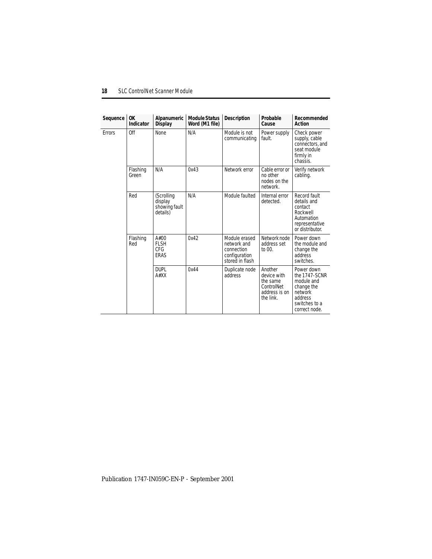| Sequence      | 0K<br><b>Indicator</b> | Alpanumeric<br>Display                             | <b>Module Status</b><br>Word (M1 file) | <b>Description</b>                                                             | Probable<br>Cause                                                              | Recommended<br>Action                                                                                           |
|---------------|------------------------|----------------------------------------------------|----------------------------------------|--------------------------------------------------------------------------------|--------------------------------------------------------------------------------|-----------------------------------------------------------------------------------------------------------------|
| <b>Errors</b> | Off                    | <b>None</b>                                        | N/A                                    | Module is not<br>communicating                                                 | Power supply<br>fault.                                                         | Check power<br>supply, cable<br>connectors, and<br>seat module<br>firmly in<br>chassis.                         |
|               | Flashing<br>Green      | N/A                                                | 0x43                                   | Network error                                                                  | Cable error or<br>no other<br>nodes on the<br>network.                         | Verify network<br>cabling.                                                                                      |
|               | Red                    | (Scrolling<br>display<br>showing fault<br>details) | N/A                                    | Module faulted                                                                 | Internal error<br>detected.                                                    | Record fault<br>details and<br>contact<br>Rockwell<br>Automation<br>representative<br>or distributor.           |
|               | Flashing<br>Red        | A#00<br><b>FLSH</b><br><b>CFG</b><br>ERAS          | 0x42                                   | Module erased<br>network and<br>connection<br>configuration<br>stored in flash | Network node<br>address set<br>to 00.                                          | Power down<br>the module and<br>change the<br>address<br>switches.                                              |
|               |                        | <b>DUPL</b><br>A#XX                                | 0x44                                   | Duplicate node<br>address                                                      | Another<br>device with<br>the same<br>ControlNet<br>address is on<br>the link. | Power down<br>the 1747-SCNR<br>module and<br>change the<br>network<br>address<br>switches to a<br>correct node. |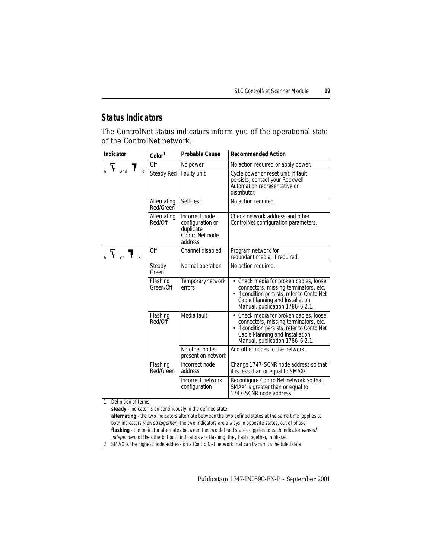### <span id="page-18-0"></span>**Status Indicators**

The ControlNet status indicators inform you of the operational state of the ControlNet network.

| Indicator    | Color <sup>1</sup>       | <b>Probable Cause</b>                                                         | <b>Recommended Action</b>                                                                                                                                                                            |
|--------------|--------------------------|-------------------------------------------------------------------------------|------------------------------------------------------------------------------------------------------------------------------------------------------------------------------------------------------|
| V            | Off                      | No power                                                                      | No action required or apply power.                                                                                                                                                                   |
| and<br>R     | <b>Steady Red</b>        | Faulty unit                                                                   | Cycle power or reset unit. If fault<br>persists, contact your Rockwell<br>Automation representative or<br>distributor.                                                                               |
|              | Alternating<br>Red/Green | Self-test                                                                     | No action required.                                                                                                                                                                                  |
|              | Alternating<br>Red/Off   | Incorrect node<br>configuration or<br>duplicate<br>ControlNet node<br>address | Check network address and other<br>ControlNet configuration parameters.                                                                                                                              |
| Ŧ<br>or<br>R | Off                      | Channel disabled                                                              | Program network for<br>redundant media, if required.                                                                                                                                                 |
|              | Steady<br>Green          | Normal operation                                                              | No action required.                                                                                                                                                                                  |
|              | Flashing<br>Green/Off    | Temporary network<br>errors                                                   | Check media for broken cables, loose<br>connectors, missing terminators, etc.<br>• If condition persists, refer to ContolNet<br>Cable Planning and Installation<br>Manual, publication 1786-6.2.1.   |
|              | Flashing<br>Red/Off      | Media fault                                                                   | • Check media for broken cables, loose<br>connectors, missing terminators, etc.<br>• If condition persists, refer to ContolNet<br>Cable Planning and Installation<br>Manual, publication 1786-6.2.1. |
|              |                          | No other nodes<br>present on network                                          | Add other nodes to the network.                                                                                                                                                                      |
|              | Flashing<br>Red/Green    | Incorrect node<br>address                                                     | Change 1747-SCNR node address so that<br>it is less than or equal to SMAX <sup>2</sup> .                                                                                                             |
|              |                          | Incorrect network<br>configuration                                            | Reconfigure ControlNet network so that<br>SMAX <sup>2</sup> is greater than or equal to<br>1747-SCNR node address.                                                                                   |

1. Definition of terms:

**steady** - indicator is on continuously in the defined state.

**alternating** - the two indicators alternate between the two defined states at the same time (applies to both indicators *viewed together*); the two indicators are always in opposite states, out of phase. **flashing** - the indicator alternates between the two defined states (applies to each indicator viewed independent of the other); if both indicators are flashing, they flash together, in phase.

2. SMAX is the highest node address on a ControlNet network that can transmit scheduled data.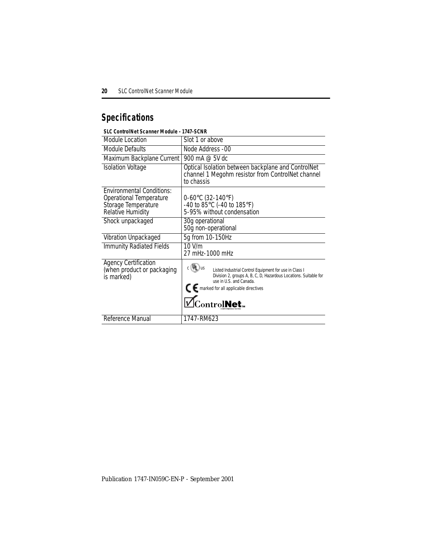# <span id="page-19-0"></span>**Specifications**

#### **SLC ControlNet Scanner Module - 1747-SCNR**

| Module Location                                                                                         | Slot 1 or above                                                                                                                                                                                                            |
|---------------------------------------------------------------------------------------------------------|----------------------------------------------------------------------------------------------------------------------------------------------------------------------------------------------------------------------------|
| Module Defaults                                                                                         | Node Address -00                                                                                                                                                                                                           |
| Maximum Backplane Current                                                                               | 900 mA @ 5V dc                                                                                                                                                                                                             |
| <b>Isolation Voltage</b>                                                                                | Optical Isolation between backplane and ControlNet<br>channel 1 Megohm resistor from ControlNet channel<br>to chassis                                                                                                      |
| <b>Environmental Conditions:</b><br>Operational Temperature<br>Storage Temperature<br>Relative Humidity | 0-60°C (32-140°F)<br>-40 to $85^{\circ}$ C (-40 to 185°F)<br>5-95% without condensation                                                                                                                                    |
| Shock unpackaged                                                                                        | 30g operational<br>50g non-operational                                                                                                                                                                                     |
| Vibration Unpackaged                                                                                    | 5g from 10-150Hz                                                                                                                                                                                                           |
| <b>Immunity Radiated Fields</b>                                                                         | $10$ V/m<br>27 mHz-1000 mHz                                                                                                                                                                                                |
| <b>Agency Certification</b><br>(when product or packaging<br>is marked)                                 | c (4) us<br>Listed Industrial Control Equipment for use in Class I<br>Division 2, groups A, B, C, D, Hazardous Locations. Suitable for<br>use in U.S. and Canada.<br>CE marked for all applicable directives<br>ControlNet |
| Reference Manual                                                                                        | 1747-RM623                                                                                                                                                                                                                 |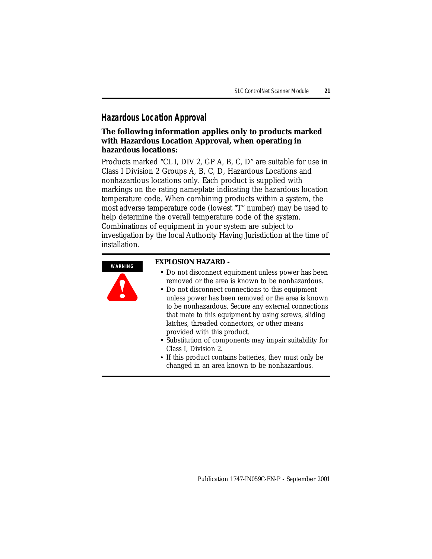#### <span id="page-20-0"></span>**Hazardous Location Approval**

#### **The following information applies only to products marked with Hazardous Location Approval, when operating in hazardous locations:**

Products marked "CL I, DIV 2, GP A, B, C, D" are suitable for use in Class I Division 2 Groups A, B, C, D, Hazardous Locations and nonhazardous locations only. Each product is supplied with markings on the rating nameplate indicating the hazardous location temperature code. When combining products within a system, the most adverse temperature code (lowest "T" number) may be used to help determine the overall temperature code of the system. Combinations of equipment in your system are subject to investigation by the local Authority Having Jurisdiction at the time of installation.

**WARNING**



#### **EXPLOSION HAZARD -**

- Do not disconnect equipment unless power has been removed or the area is known to be nonhazardous.
- Do not disconnect connections to this equipment unless power has been removed or the area is known to be nonhazardous. Secure any external connections that mate to this equipment by using screws, sliding latches, threaded connectors, or other means provided with this product.
- Substitution of components may impair suitability for Class I, Division 2.
- If this product contains batteries, they must only be changed in an area known to be nonhazardous.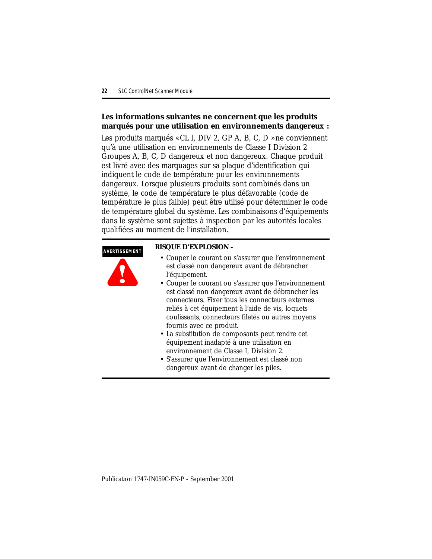#### **Les informations suivantes ne concernent que les produits marqués pour une utilisation en environnements dangereux :**

Les produits marqués « CL I, DIV 2, GP A, B, C, D » ne conviennent qu'à une utilisation en environnements de Classe I Division 2 Groupes A, B, C, D dangereux et non dangereux. Chaque produit est livré avec des marquages sur sa plaque d'identification qui indiquent le code de température pour les environnements dangereux. Lorsque plusieurs produits sont combinés dans un système, le code de température le plus défavorable (code de température le plus faible) peut être utilisé pour déterminer le code de température global du système. Les combinaisons d'équipements dans le système sont sujettes à inspection par les autorités locales qualifiées au moment de l'installation.

#### **AVERTISSEMENT**



#### **RISQUE D'EXPLOSION -**

- Couper le courant ou s'assurer que l'environnement est classé non dangereux avant de débrancher l'équipement.
- Couper le courant ou s'assurer que l'environnement est classé non dangereux avant de débrancher les connecteurs. Fixer tous les connecteurs externes reliés à cet équipement à l'aide de vis, loquets coulissants, connecteurs filetés ou autres moyens fournis avec ce produit.
- La substitution de composants peut rendre cet équipement inadapté à une utilisation en environnement de Classe I, Division 2.
- S'assurer que l'environnement est classé non dangereux avant de changer les piles.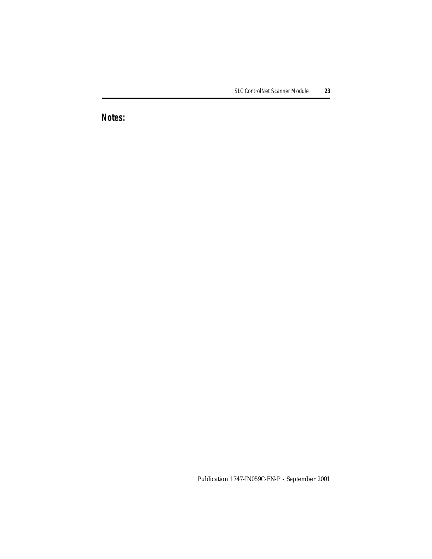# **Notes:**